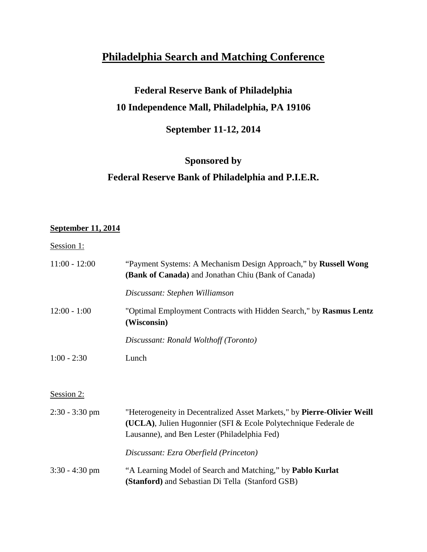# **Philadelphia Search and Matching Conference**

## **Federal Reserve Bank of Philadelphia 10 Independence Mall, Philadelphia, PA 19106**

### **September 11-12, 2014**

### **Sponsored by**

#### **Federal Reserve Bank of Philadelphia and P.I.E.R.**

#### **September 11, 2014**

#### Session 1:

| $11:00 - 12:00$  | "Payment Systems: A Mechanism Design Approach," by Russell Wong<br>(Bank of Canada) and Jonathan Chiu (Bank of Canada)                                                                     |
|------------------|--------------------------------------------------------------------------------------------------------------------------------------------------------------------------------------------|
|                  | Discussant: Stephen Williamson                                                                                                                                                             |
| $12:00 - 1:00$   | "Optimal Employment Contracts with Hidden Search," by Rasmus Lentz<br>(Wisconsin)                                                                                                          |
|                  | Discussant: Ronald Wolthoff (Toronto)                                                                                                                                                      |
| $1:00 - 2:30$    | Lunch                                                                                                                                                                                      |
|                  |                                                                                                                                                                                            |
| Session 2:       |                                                                                                                                                                                            |
| $2:30 - 3:30$ pm | "Heterogeneity in Decentralized Asset Markets," by Pierre-Olivier Weill<br>(UCLA), Julien Hugonnier (SFI & Ecole Polytechnique Federale de<br>Lausanne), and Ben Lester (Philadelphia Fed) |
|                  | Discussant: Ezra Oberfield (Princeton)                                                                                                                                                     |
| $3:30 - 4:30$ pm | "A Learning Model of Search and Matching," by Pablo Kurlat<br>(Stanford) and Sebastian Di Tella (Stanford GSB)                                                                             |